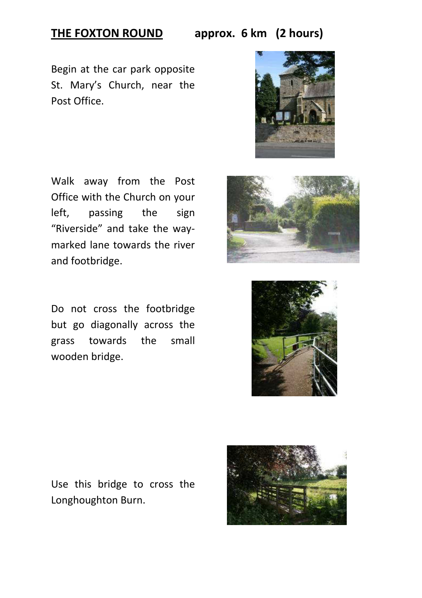## **THE FOXTON ROUND approx. 6 km (2 hours)**

Begin at the car park opposite St. Mary's Church, near the Post Office.



Walk away from the Post Office with the Church on your left, passing the sign "Riverside" and take the waymarked lane towards the river and footbridge.

Do not cross the footbridge but go diagonally across the grass towards the small wooden bridge.





Use this bridge to cross the Longhoughton Burn.

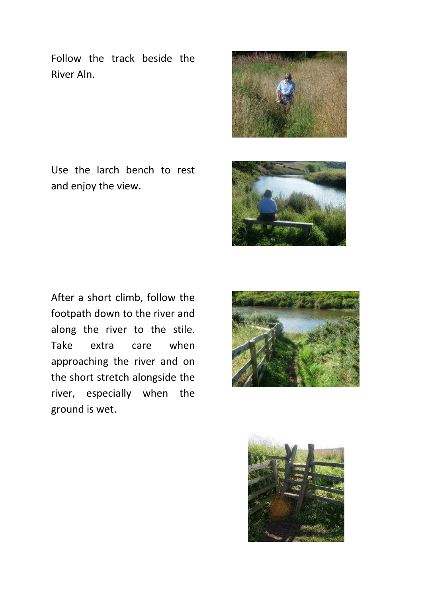Follow the track beside the River Aln.



Use the larch bench to rest and enjoy the view.



After a short climb, follow the footpath down to the river and along the river to the stile. Take extra care when approaching the river and on the short stretch alongside the river, especially when the ground is wet.



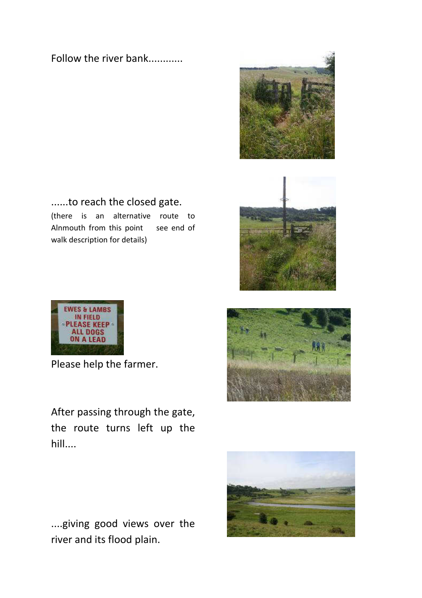### Follow the river bank............



......to reach the closed gate. (there is an alternative route to Alnmouth from this point see end of walk description for details)





Please help the farmer.

After passing through the gate, the route turns left up the hill....





....giving good views over the river and its flood plain.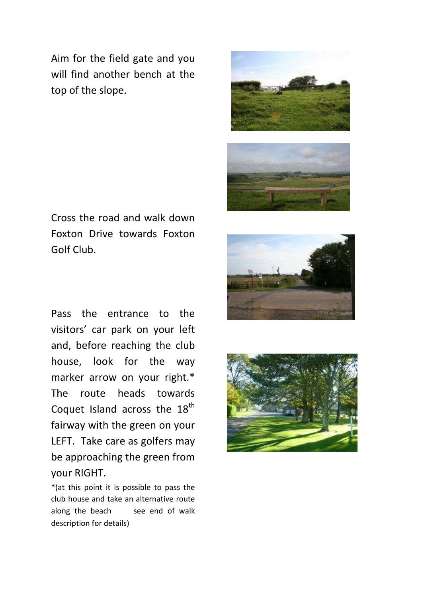Aim for the field gate and you will find another bench at the top of the slope.



Cross the road and walk down Foxton Drive towards Foxton Golf Club.

Pass the entrance to the visitors' car park on your left and, before reaching the club house, look for the way marker arrow on your right.\* The route heads towards Coquet Island across the 18<sup>th</sup> fairway with the green on your LEFT. Take care as golfers may be approaching the green from your RIGHT.

\*(at this point it is possible to pass the club house and take an alternative route along the beach see end of walk description for details)



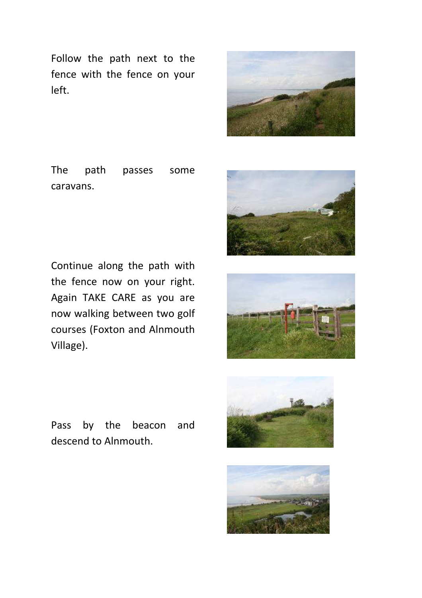Follow the path next to the fence with the fence on your left.



The path passes some caravans.



Continue along the path with the fence now on your right. Again TAKE CARE as you are now walking between two golf courses (Foxton and Alnmouth Village).



Pass by the beacon and descend to Alnmouth.



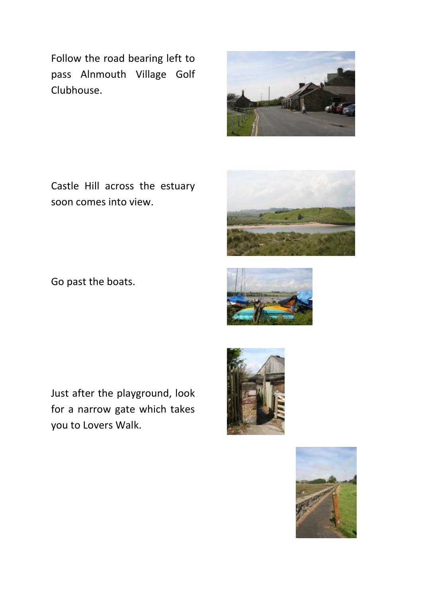Follow the road bearing left to pass Alnmouth Village Golf Clubhouse.

Castle Hill across the estuary soon comes into view.

Go past the boats.

Just after the playground, look for a narrow gate which takes you to Lovers Walk.









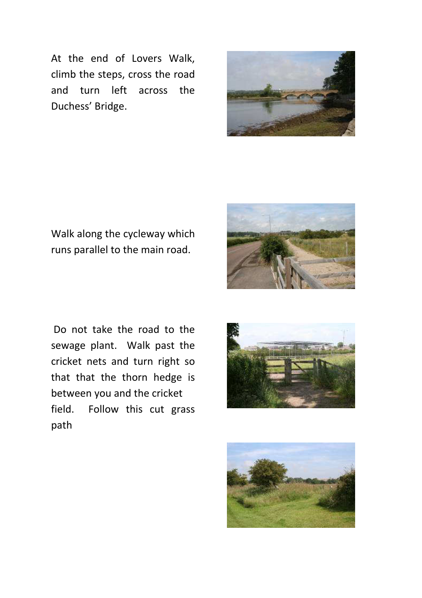At the end of Lovers Walk, climb the steps, cross the road and turn left across the Duchess' Bridge.



Walk along the cycleway which runs parallel to the main road.







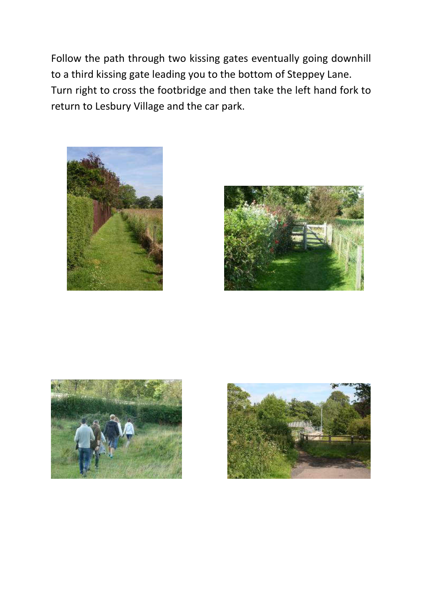Follow the path through two kissing gates eventually going downhill to a third kissing gate leading you to the bottom of Steppey Lane. Turn right to cross the footbridge and then take the left hand fork to return to Lesbury Village and the car park.







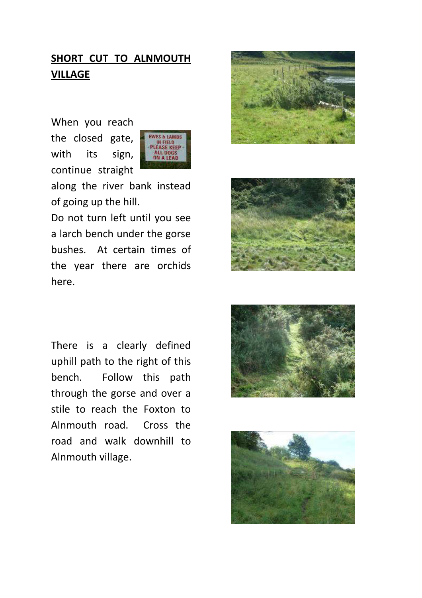# **SHORT CUT TO ALNMOUTH VILLAGE**

When you reach the closed gate, with its sign, continue straight



along the river bank instead of going up the hill.

Do not turn left until you see a larch bench under the gorse bushes. At certain times of the year there are orchids here.





There is a clearly defined uphill path to the right of this bench. Follow this path through the gorse and over a stile to reach the Foxton to Alnmouth road. Cross the road and walk downhill to Alnmouth village.